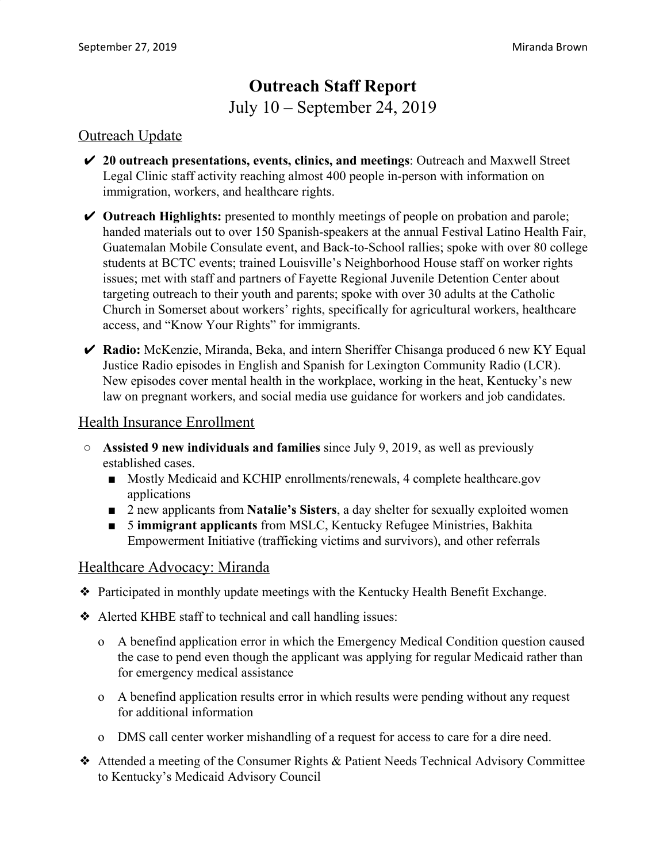# **Outreach Staff Report** July 10 – September 24, 2019

### Outreach Update

- ✔ **20 outreach presentations, events, clinics, and meetings**: Outreach and Maxwell Street Legal Clinic staff activity reaching almost 400 people in-person with information on immigration, workers, and healthcare rights.
- ✔ **Outreach Highlights:** presented to monthly meetings of people on probation and parole; handed materials out to over 150 Spanish-speakers at the annual Festival Latino Health Fair, Guatemalan Mobile Consulate event, and Back-to-School rallies; spoke with over 80 college students at BCTC events; trained Louisville's Neighborhood House staff on worker rights issues; met with staff and partners of Fayette Regional Juvenile Detention Center about targeting outreach to their youth and parents; spoke with over 30 adults at the Catholic Church in Somerset about workers' rights, specifically for agricultural workers, healthcare access, and "Know Your Rights" for immigrants.
- ✔ **Radio:** McKenzie, Miranda, Beka, and intern Sheriffer Chisanga produced 6 new KY Equal Justice Radio episodes in English and Spanish for Lexington Community Radio (LCR). New episodes cover mental health in the workplace, working in the heat, Kentucky's new law on pregnant workers, and social media use guidance for workers and job candidates.

#### Health Insurance Enrollment

- **Assisted 9 new individuals and families** since July 9, 2019, as well as previously established cases.
	- Mostly Medicaid and KCHIP enrollments/renewals, 4 complete healthcare.gov applications
	- 2 new applicants from **Natalie's Sisters**, a day shelter for sexually exploited women
	- 5 **immigrant applicants** from MSLC, Kentucky Refugee Ministries, Bakhita Empowerment Initiative (trafficking victims and survivors), and other referrals

#### Healthcare Advocacy: Miranda

- ❖ Participated in monthly update meetings with the Kentucky Health Benefit Exchange.
- ❖ Alerted KHBE staff to technical and call handling issues:
	- o A benefind application error in which the Emergency Medical Condition question caused the case to pend even though the applicant was applying for regular Medicaid rather than for emergency medical assistance
	- o A benefind application results error in which results were pending without any request for additional information
	- o DMS call center worker mishandling of a request for access to care for a dire need.
- ❖ Attended a meeting of the Consumer Rights & Patient Needs Technical Advisory Committee to Kentucky's Medicaid Advisory Council